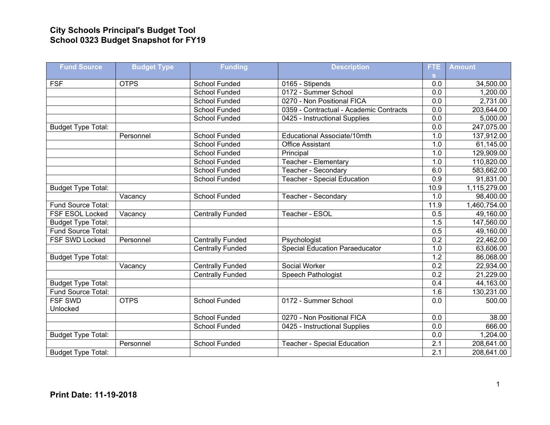## **City Schools Principal's Budget Tool School 0323 Budget Snapshot for FY19**

| <b>Fund Source</b>        | <b>Budget Type</b> | <b>Funding</b>          | <b>Description</b>                      | FTE              | <b>Amount</b> |
|---------------------------|--------------------|-------------------------|-----------------------------------------|------------------|---------------|
|                           |                    |                         |                                         | s.               |               |
| <b>FSF</b>                | <b>OTPS</b>        | School Funded           | 0165 - Stipends                         | 0.0              | 34,500.00     |
|                           |                    | <b>School Funded</b>    | 0172 - Summer School                    | 0.0              | 1,200.00      |
|                           |                    | <b>School Funded</b>    | 0270 - Non Positional FICA              | 0.0              | 2,731.00      |
|                           |                    | <b>School Funded</b>    | 0359 - Contractual - Academic Contracts | $\overline{0.0}$ | 203,644.00    |
|                           |                    | <b>School Funded</b>    | 0425 - Instructional Supplies           | 0.0              | 5,000.00      |
| <b>Budget Type Total:</b> |                    |                         |                                         | 0.0              | 247,075.00    |
|                           | Personnel          | <b>School Funded</b>    | Educational Associate/10mth             | 1.0              | 137,912.00    |
|                           |                    | School Funded           | <b>Office Assistant</b>                 | 1.0              | 61,145.00     |
|                           |                    | <b>School Funded</b>    | Principal                               | 1.0              | 129,909.00    |
|                           |                    | School Funded           | Teacher - Elementary                    | 1.0              | 110,820.00    |
|                           |                    | <b>School Funded</b>    | Teacher - Secondary                     | 6.0              | 583,662.00    |
|                           |                    | <b>School Funded</b>    | <b>Teacher - Special Education</b>      | 0.9              | 91,831.00     |
| <b>Budget Type Total:</b> |                    |                         |                                         | 10.9             | 1,115,279.00  |
|                           | Vacancy            | <b>School Funded</b>    | Teacher - Secondary                     | 1.0              | 98,400.00     |
| Fund Source Total:        |                    |                         |                                         | 11.9             | 1,460,754.00  |
| FSF ESOL Locked           | Vacancy            | <b>Centrally Funded</b> | Teacher - ESOL                          | 0.5              | 49,160.00     |
| <b>Budget Type Total:</b> |                    |                         |                                         | 1.5              | 147,560.00    |
| Fund Source Total:        |                    |                         |                                         | 0.5              | 49,160.00     |
| FSF SWD Locked            | Personnel          | <b>Centrally Funded</b> | Psychologist                            | $\overline{0.2}$ | 22,462.00     |
|                           |                    | <b>Centrally Funded</b> | <b>Special Education Paraeducator</b>   | 1.0              | 63,606.00     |
| <b>Budget Type Total:</b> |                    |                         |                                         | 1.2              | 86,068.00     |
|                           | Vacancy            | <b>Centrally Funded</b> | Social Worker                           | 0.2              | 22,934.00     |
|                           |                    | <b>Centrally Funded</b> | Speech Pathologist                      | 0.2              | 21,229.00     |
| <b>Budget Type Total:</b> |                    |                         |                                         | 0.4              | 44,163.00     |
| Fund Source Total:        |                    |                         |                                         | 1.6              | 130,231.00    |
| <b>FSF SWD</b>            | <b>OTPS</b>        | <b>School Funded</b>    | 0172 - Summer School                    | $\overline{0.0}$ | 500.00        |
| Unlocked                  |                    |                         |                                         |                  |               |
|                           |                    | <b>School Funded</b>    | 0270 - Non Positional FICA              | 0.0              | 38.00         |
|                           |                    | <b>School Funded</b>    | 0425 - Instructional Supplies           | 0.0              | 666.00        |
| <b>Budget Type Total:</b> |                    |                         |                                         | 0.0              | 1,204.00      |
|                           | Personnel          | <b>School Funded</b>    | <b>Teacher - Special Education</b>      | 2.1              | 208,641.00    |
| <b>Budget Type Total:</b> |                    |                         |                                         | $\overline{2.1}$ | 208,641.00    |